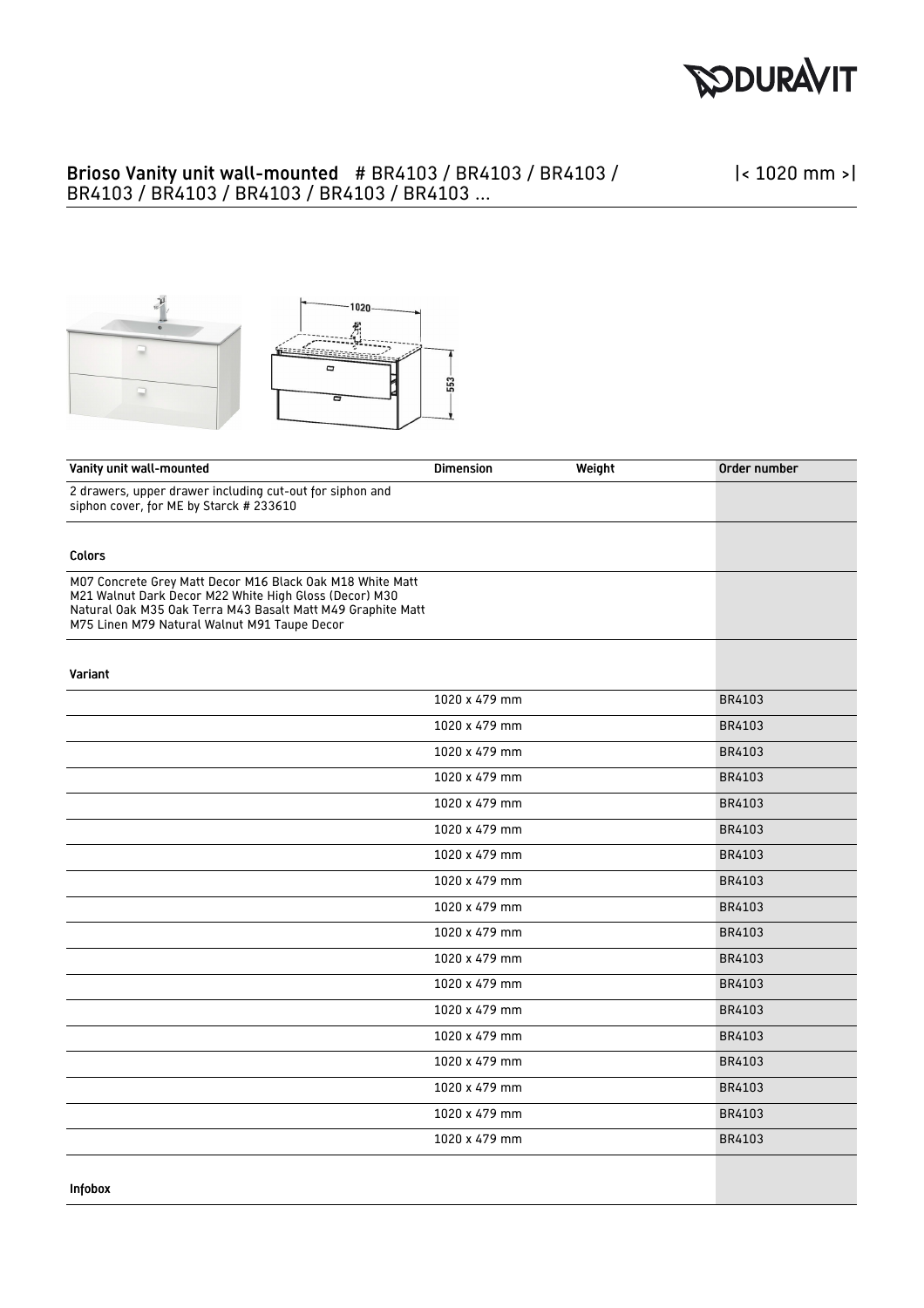

## Brioso Vanity unit wall-mounted # BR4103 / BR4103 / BR4103 / BR4103 / BR4103 / BR4103 / BR4103 / BR4103 ...

|< 1020 mm >|



| Vanity unit wall-mounted                                                                                                                                                                                                           | <b>Dimension</b> | Weight | Order number |
|------------------------------------------------------------------------------------------------------------------------------------------------------------------------------------------------------------------------------------|------------------|--------|--------------|
| 2 drawers, upper drawer including cut-out for siphon and<br>siphon cover, for ME by Starck # 233610                                                                                                                                |                  |        |              |
|                                                                                                                                                                                                                                    |                  |        |              |
| Colors                                                                                                                                                                                                                             |                  |        |              |
| M07 Concrete Grey Matt Decor M16 Black Oak M18 White Matt<br>M21 Walnut Dark Decor M22 White High Gloss (Decor) M30<br>Natural Oak M35 Oak Terra M43 Basalt Matt M49 Graphite Matt<br>M75 Linen M79 Natural Walnut M91 Taupe Decor |                  |        |              |
| Variant                                                                                                                                                                                                                            |                  |        |              |
|                                                                                                                                                                                                                                    | 1020 x 479 mm    |        | BR4103       |
|                                                                                                                                                                                                                                    | 1020 x 479 mm    |        | BR4103       |
|                                                                                                                                                                                                                                    | 1020 x 479 mm    |        | BR4103       |
|                                                                                                                                                                                                                                    | 1020 x 479 mm    |        | BR4103       |
|                                                                                                                                                                                                                                    | 1020 x 479 mm    |        | BR4103       |
|                                                                                                                                                                                                                                    | 1020 x 479 mm    |        | BR4103       |
|                                                                                                                                                                                                                                    | 1020 x 479 mm    |        | BR4103       |
|                                                                                                                                                                                                                                    | 1020 x 479 mm    |        | BR4103       |
|                                                                                                                                                                                                                                    | 1020 x 479 mm    |        | BR4103       |
|                                                                                                                                                                                                                                    | 1020 x 479 mm    |        | BR4103       |
|                                                                                                                                                                                                                                    | 1020 x 479 mm    |        | BR4103       |
|                                                                                                                                                                                                                                    | 1020 x 479 mm    |        | BR4103       |
|                                                                                                                                                                                                                                    | 1020 x 479 mm    |        | BR4103       |
|                                                                                                                                                                                                                                    | 1020 x 479 mm    |        | BR4103       |
|                                                                                                                                                                                                                                    | 1020 x 479 mm    |        | BR4103       |
|                                                                                                                                                                                                                                    | 1020 x 479 mm    |        | BR4103       |
|                                                                                                                                                                                                                                    | 1020 x 479 mm    |        | BR4103       |
|                                                                                                                                                                                                                                    | 1020 x 479 mm    |        | BR4103       |
|                                                                                                                                                                                                                                    |                  |        |              |
| Infobox                                                                                                                                                                                                                            |                  |        |              |